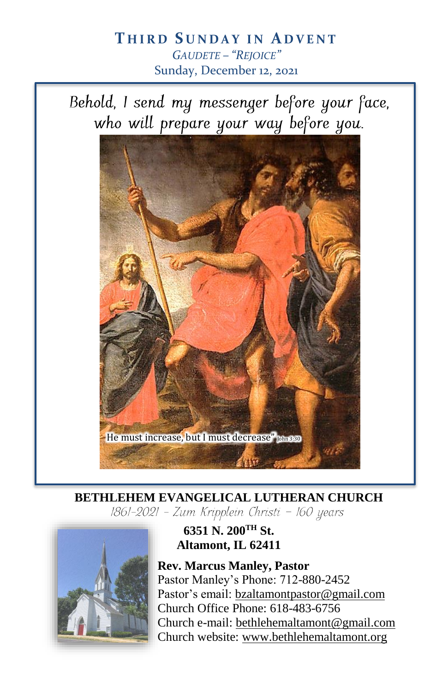# **T H I R D S U N D A Y I N A D V E N T** *GAUDETE – "REJOICE"* Sunday, December 12, 2021

Behold, I send my messenger before your face, who will prepare your way before you.



**BETHLEHEM EVANGELICAL LUTHERAN CHURCH**<br>[861-2021 - Zum Kripplein Christi - 160 years]



**6351 N. 200TH St. Altamont, IL 62411**

**Rev. Marcus Manley, Pastor** Pastor Manley's Phone: 712-880-2452 Pastor's email[: bzaltamontpastor@gmail.com](mailto:bzaltamontpastor@gmail.com) Church Office Phone: 618-483-6756 Church e-mail: [bethlehemaltamont@gmail.com](mailto:bethlehemaltamont@gmail.com) Church website: [www.bethlehemaltamont.org](http://www.bethlehemaltamont.org/)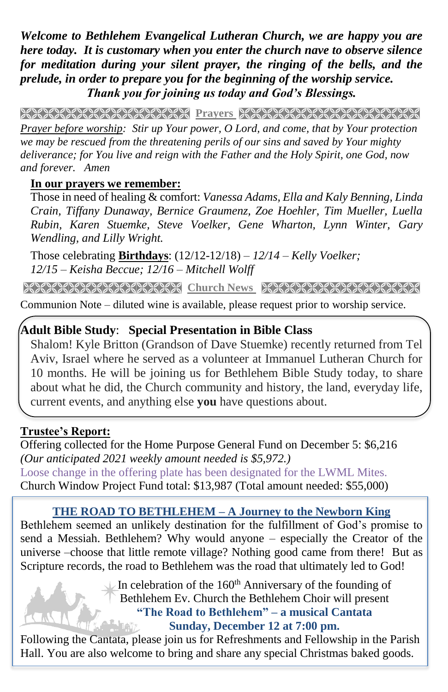*Welcome to Bethlehem Evangelical Lutheran Church, we are happy you are here today. It is customary when you enter the church nave to observe silence for meditation during your silent prayer, the ringing of the bells, and the prelude, in order to prepare you for the beginning of the worship service. Thank you for joining us today and God's Blessings.*

**PRAYARANA NATURAL PROTECT PARAMETERING CONTROLLER** 

*Prayer before worship: Stir up Your power, O Lord, and come, that by Your protection we may be rescued from the threatening perils of our sins and saved by Your mighty deliverance; for You live and reign with the Father and the Holy Spirit, one God, now and forever. Amen*

#### **In our prayers we remember:**

Those in need of healing & comfort: *Vanessa Adams, Ella and Kaly Benning, Linda Crain, Tiffany Dunaway, Bernice Graumenz, Zoe Hoehler, Tim Mueller, Luella Rubin, Karen Stuemke, Steve Voelker, Gene Wharton, Lynn Winter, Gary Wendling, and Lilly Wright.*

Those celebrating **Birthdays**: (12/12-12/18) *– 12/14 – Kelly Voelker; 12/15 – Keisha Beccue; 12/16 – Mitchell Wolff*

**Church News RECARE RECOVERED NAMES** 

Communion Note – diluted wine is available, please request prior to worship service.

#### **Adult Bible Study**: **Special Presentation in Bible Class**

Shalom! Kyle Britton (Grandson of Dave Stuemke) recently returned from Tel Aviv, Israel where he served as a volunteer at Immanuel Lutheran Church for 10 months. He will be joining us for Bethlehem Bible Study today, to share about what he did, the Church community and history, the land, everyday life, current events, and anything else **you** have questions about.

# **Trustee's Report:**

Offering collected for the Home Purpose General Fund on December 5: \$6,216 *(Our anticipated 2021 weekly amount needed is \$5,972.)*  Loose change in the offering plate has been designated for the LWML Mites. Church Window Project Fund total: \$13,987 (Total amount needed: \$55,000)

### **THE ROAD TO BETHLEHEM – A Journey to the Newborn King**

Bethlehem seemed an unlikely destination for the fulfillment of God's promise to send a Messiah. Bethlehem? Why would anyone – especially the Creator of the universe –choose that little remote village? Nothing good came from there! But as Scripture records, the road to Bethlehem was the road that ultimately led to God!

> $\downarrow$  In celebration of the 160<sup>th</sup> Anniversary of the founding of Bethlehem Ev. Church the Bethlehem Choir will present **"The Road to Bethlehem" – a musical Cantata Sunday, December 12 at 7:00 pm.**

Following the Cantata, please join us for Refreshments and Fellowship in the Parish Hall. You are also welcome to bring and share any special Christmas baked goods.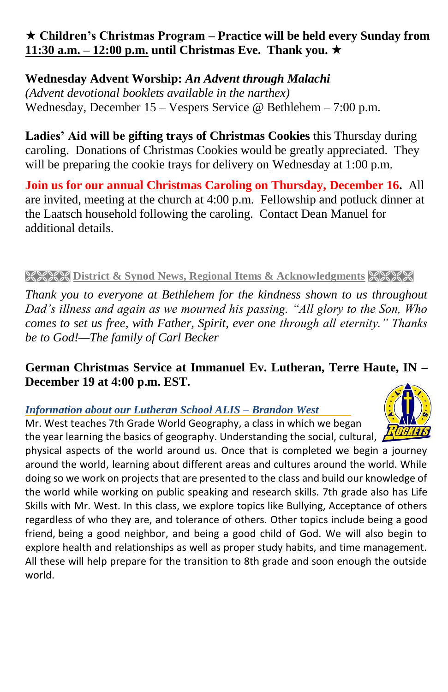## **Children's Christmas Program – Practice will be held every Sunday from 11:30 a.m. – 12:00 p.m. until Christmas Eve. Thank you.**

## **Wednesday Advent Worship:** *An Advent through Malachi*

*(Advent devotional booklets available in the narthex)* Wednesday, December 15 – Vespers Service @ Bethlehem – 7:00 p.m.

**Ladies' Aid will be gifting trays of Christmas Cookies** this Thursday during caroling.Donations of Christmas Cookies would be greatly appreciated. They will be preparing the cookie trays for delivery on Wednesday at 1:00 p.m.

**Join us for our annual Christmas Caroling on Thursday, December 16.** All are invited, meeting at the church at 4:00 p.m.Fellowship and potluck dinner at the Laatsch household following the caroling. Contact Dean Manuel for additional details.

#### **District & Synod News, Regional Items & Acknowledgments & XXXX**

*Thank you to everyone at Bethlehem for the kindness shown to us throughout Dad's illness and again as we mourned his passing. "All glory to the Son, Who comes to set us free, with Father, Spirit, ever one through all eternity." Thanks be to God!—The family of Carl Becker* 

### **German Christmas Service at Immanuel Ev. Lutheran, Terre Haute, IN – December 19 at 4:00 p.m. EST.**

### *Information about our Lutheran School ALIS – Brandon West*

Mr. West teaches 7th Grade World Geography, a class in which we began the year learning the basics of geography. Understanding the social, cultural,  $\mathbb{A}^{\prime\prime\prime\prime\prime\prime\prime}$ 

physical aspects of the world around us. Once that is completed we begin a journey around the world, learning about different areas and cultures around the world. While doing so we work on projects that are presented to the class and build our knowledge of the world while working on public speaking and research skills. 7th grade also has Life Skills with Mr. West. In this class, we explore topics like Bullying, Acceptance of others regardless of who they are, and tolerance of others. Other topics include being a good friend, being a good neighbor, and being a good child of God. We will also begin to explore health and relationships as well as proper study habits, and time management. All these will help prepare for the transition to 8th grade and soon enough the outside world.